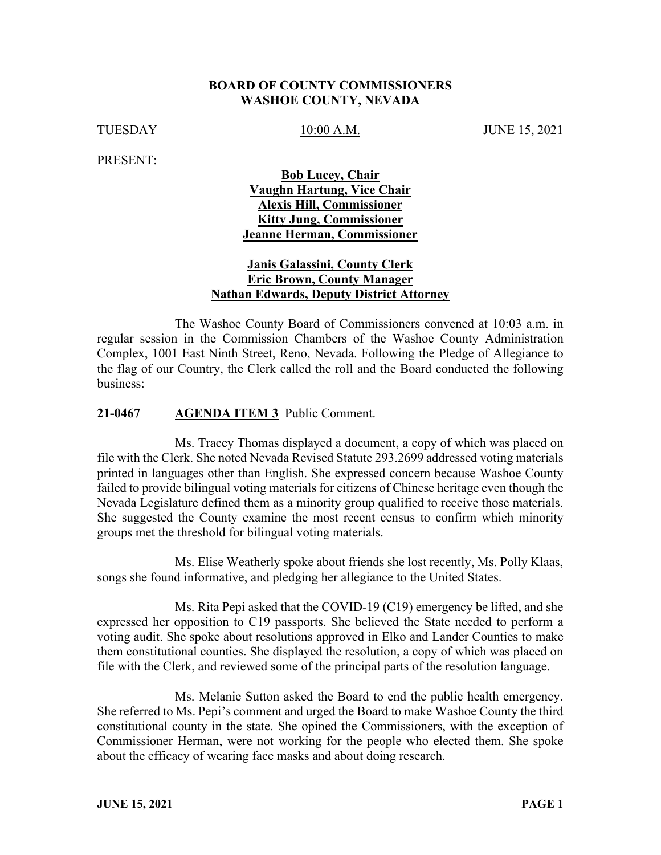#### **BOARD OF COUNTY COMMISSIONERS WASHOE COUNTY, NEVADA**

TUESDAY 10:00 A.M. JUNE 15, 2021

PRESENT:

## **Bob Lucey, Chair Vaughn Hartung, Vice Chair Alexis Hill, Commissioner Kitty Jung, Commissioner Jeanne Herman, Commissioner**

### **Janis Galassini, County Clerk Eric Brown, County Manager Nathan Edwards, Deputy District Attorney**

The Washoe County Board of Commissioners convened at 10:03 a.m. in regular session in the Commission Chambers of the Washoe County Administration Complex, 1001 East Ninth Street, Reno, Nevada. Following the Pledge of Allegiance to the flag of our Country, the Clerk called the roll and the Board conducted the following business:

#### **21-0467 AGENDA ITEM 3** Public Comment.

Ms. Tracey Thomas displayed a document, a copy of which was placed on file with the Clerk. She noted Nevada Revised Statute 293.2699 addressed voting materials printed in languages other than English. She expressed concern because Washoe County failed to provide bilingual voting materials for citizens of Chinese heritage even though the Nevada Legislature defined them as a minority group qualified to receive those materials. She suggested the County examine the most recent census to confirm which minority groups met the threshold for bilingual voting materials.

Ms. Elise Weatherly spoke about friends she lost recently, Ms. Polly Klaas, songs she found informative, and pledging her allegiance to the United States.

Ms. Rita Pepi asked that the COVID-19 (C19) emergency be lifted, and she expressed her opposition to C19 passports. She believed the State needed to perform a voting audit. She spoke about resolutions approved in Elko and Lander Counties to make them constitutional counties. She displayed the resolution, a copy of which was placed on file with the Clerk, and reviewed some of the principal parts of the resolution language.

Ms. Melanie Sutton asked the Board to end the public health emergency. She referred to Ms. Pepi's comment and urged the Board to make Washoe County the third constitutional county in the state. She opined the Commissioners, with the exception of Commissioner Herman, were not working for the people who elected them. She spoke about the efficacy of wearing face masks and about doing research.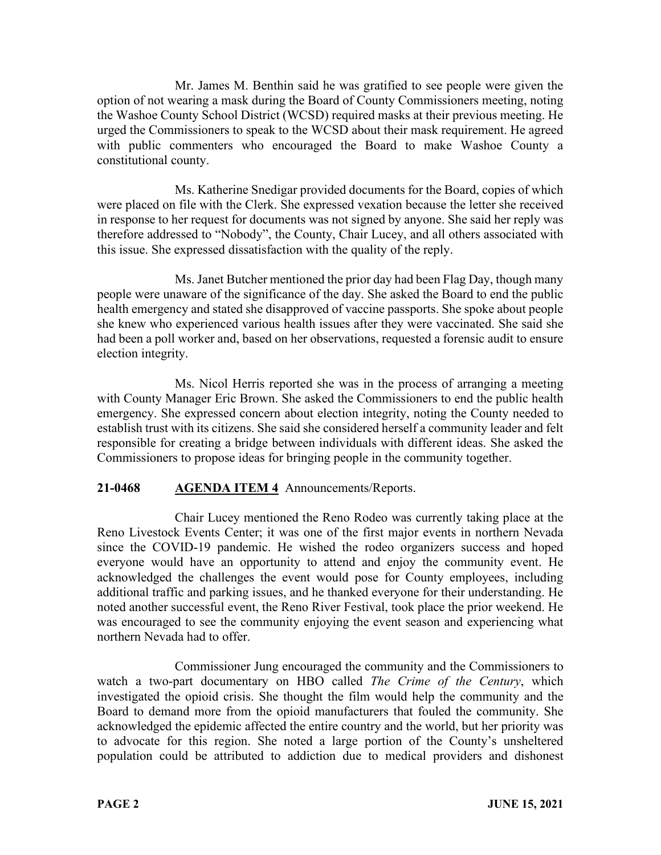Mr. James M. Benthin said he was gratified to see people were given the option of not wearing a mask during the Board of County Commissioners meeting, noting the Washoe County School District (WCSD) required masks at their previous meeting. He urged the Commissioners to speak to the WCSD about their mask requirement. He agreed with public commenters who encouraged the Board to make Washoe County a constitutional county.

Ms. Katherine Snedigar provided documents for the Board, copies of which were placed on file with the Clerk. She expressed vexation because the letter she received in response to her request for documents was not signed by anyone. She said her reply was therefore addressed to "Nobody", the County, Chair Lucey, and all others associated with this issue. She expressed dissatisfaction with the quality of the reply.

Ms. Janet Butcher mentioned the prior day had been Flag Day, though many people were unaware of the significance of the day. She asked the Board to end the public health emergency and stated she disapproved of vaccine passports. She spoke about people she knew who experienced various health issues after they were vaccinated. She said she had been a poll worker and, based on her observations, requested a forensic audit to ensure election integrity.

Ms. Nicol Herris reported she was in the process of arranging a meeting with County Manager Eric Brown. She asked the Commissioners to end the public health emergency. She expressed concern about election integrity, noting the County needed to establish trust with its citizens. She said she considered herself a community leader and felt responsible for creating a bridge between individuals with different ideas. She asked the Commissioners to propose ideas for bringing people in the community together.

# **21-0468 AGENDA ITEM 4** Announcements/Reports.

Chair Lucey mentioned the Reno Rodeo was currently taking place at the Reno Livestock Events Center; it was one of the first major events in northern Nevada since the COVID-19 pandemic. He wished the rodeo organizers success and hoped everyone would have an opportunity to attend and enjoy the community event. He acknowledged the challenges the event would pose for County employees, including additional traffic and parking issues, and he thanked everyone for their understanding. He noted another successful event, the Reno River Festival, took place the prior weekend. He was encouraged to see the community enjoying the event season and experiencing what northern Nevada had to offer.

Commissioner Jung encouraged the community and the Commissioners to watch a two-part documentary on HBO called *The Crime of the Century*, which investigated the opioid crisis. She thought the film would help the community and the Board to demand more from the opioid manufacturers that fouled the community. She acknowledged the epidemic affected the entire country and the world, but her priority was to advocate for this region. She noted a large portion of the County's unsheltered population could be attributed to addiction due to medical providers and dishonest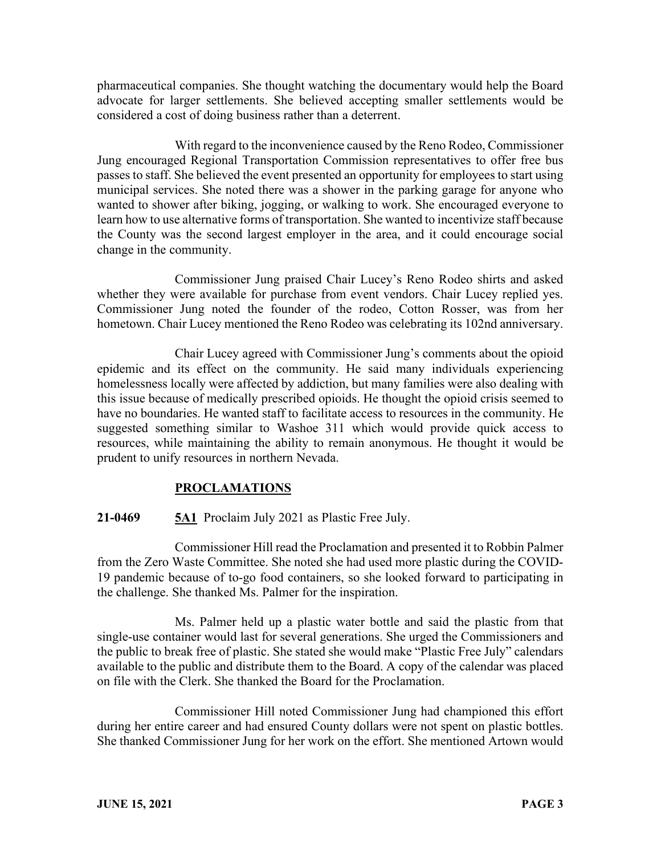pharmaceutical companies. She thought watching the documentary would help the Board advocate for larger settlements. She believed accepting smaller settlements would be considered a cost of doing business rather than a deterrent.

With regard to the inconvenience caused by the Reno Rodeo, Commissioner Jung encouraged Regional Transportation Commission representatives to offer free bus passes to staff. She believed the event presented an opportunity for employees to start using municipal services. She noted there was a shower in the parking garage for anyone who wanted to shower after biking, jogging, or walking to work. She encouraged everyone to learn how to use alternative forms of transportation. She wanted to incentivize staff because the County was the second largest employer in the area, and it could encourage social change in the community.

Commissioner Jung praised Chair Lucey's Reno Rodeo shirts and asked whether they were available for purchase from event vendors. Chair Lucey replied yes. Commissioner Jung noted the founder of the rodeo, Cotton Rosser, was from her hometown. Chair Lucey mentioned the Reno Rodeo was celebrating its 102nd anniversary.

Chair Lucey agreed with Commissioner Jung's comments about the opioid epidemic and its effect on the community. He said many individuals experiencing homelessness locally were affected by addiction, but many families were also dealing with this issue because of medically prescribed opioids. He thought the opioid crisis seemed to have no boundaries. He wanted staff to facilitate access to resources in the community. He suggested something similar to Washoe 311 which would provide quick access to resources, while maintaining the ability to remain anonymous. He thought it would be prudent to unify resources in northern Nevada.

# **PROCLAMATIONS**

# **21-0469 5A1** Proclaim July 2021 as Plastic Free July.

Commissioner Hill read the Proclamation and presented it to Robbin Palmer from the Zero Waste Committee. She noted she had used more plastic during the COVID-19 pandemic because of to-go food containers, so she looked forward to participating in the challenge. She thanked Ms. Palmer for the inspiration.

Ms. Palmer held up a plastic water bottle and said the plastic from that single-use container would last for several generations. She urged the Commissioners and the public to break free of plastic. She stated she would make "Plastic Free July" calendars available to the public and distribute them to the Board. A copy of the calendar was placed on file with the Clerk. She thanked the Board for the Proclamation.

Commissioner Hill noted Commissioner Jung had championed this effort during her entire career and had ensured County dollars were not spent on plastic bottles. She thanked Commissioner Jung for her work on the effort. She mentioned Artown would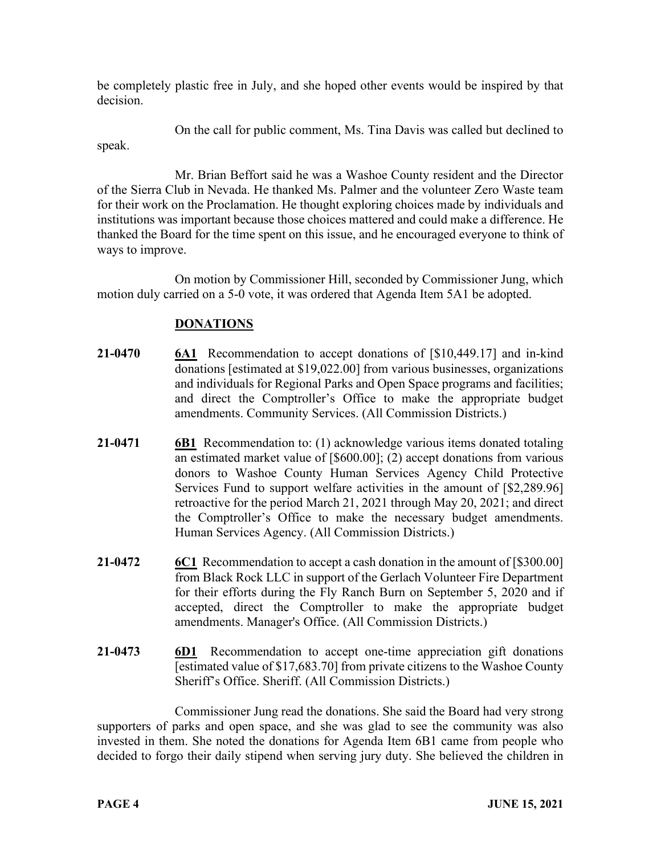be completely plastic free in July, and she hoped other events would be inspired by that decision.

On the call for public comment, Ms. Tina Davis was called but declined to speak.

Mr. Brian Beffort said he was a Washoe County resident and the Director of the Sierra Club in Nevada. He thanked Ms. Palmer and the volunteer Zero Waste team for their work on the Proclamation. He thought exploring choices made by individuals and institutions was important because those choices mattered and could make a difference. He thanked the Board for the time spent on this issue, and he encouraged everyone to think of ways to improve.

On motion by Commissioner Hill, seconded by Commissioner Jung, which motion duly carried on a 5-0 vote, it was ordered that Agenda Item 5A1 be adopted.

# **DONATIONS**

- **21-0470 6A1** Recommendation to accept donations of [\$10,449.17] and in-kind donations [estimated at \$19,022.00] from various businesses, organizations and individuals for Regional Parks and Open Space programs and facilities; and direct the Comptroller's Office to make the appropriate budget amendments. Community Services. (All Commission Districts.)
- **21-0471 6B1** Recommendation to: (1) acknowledge various items donated totaling an estimated market value of [\$600.00]; (2) accept donations from various donors to Washoe County Human Services Agency Child Protective Services Fund to support welfare activities in the amount of [\$2,289.96] retroactive for the period March 21, 2021 through May 20, 2021; and direct the Comptroller's Office to make the necessary budget amendments. Human Services Agency. (All Commission Districts.)
- **21-0472** 6C1 Recommendation to accept a cash donation in the amount of [\$300.00] from Black Rock LLC in support of the Gerlach Volunteer Fire Department for their efforts during the Fly Ranch Burn on September 5, 2020 and if accepted, direct the Comptroller to make the appropriate budget amendments. Manager's Office. (All Commission Districts.)
- **21-0473 6D1** Recommendation to accept one-time appreciation gift donations [estimated value of \$17,683.70] from private citizens to the Washoe County Sheriff's Office. Sheriff. (All Commission Districts.)

Commissioner Jung read the donations. She said the Board had very strong supporters of parks and open space, and she was glad to see the community was also invested in them. She noted the donations for Agenda Item 6B1 came from people who decided to forgo their daily stipend when serving jury duty. She believed the children in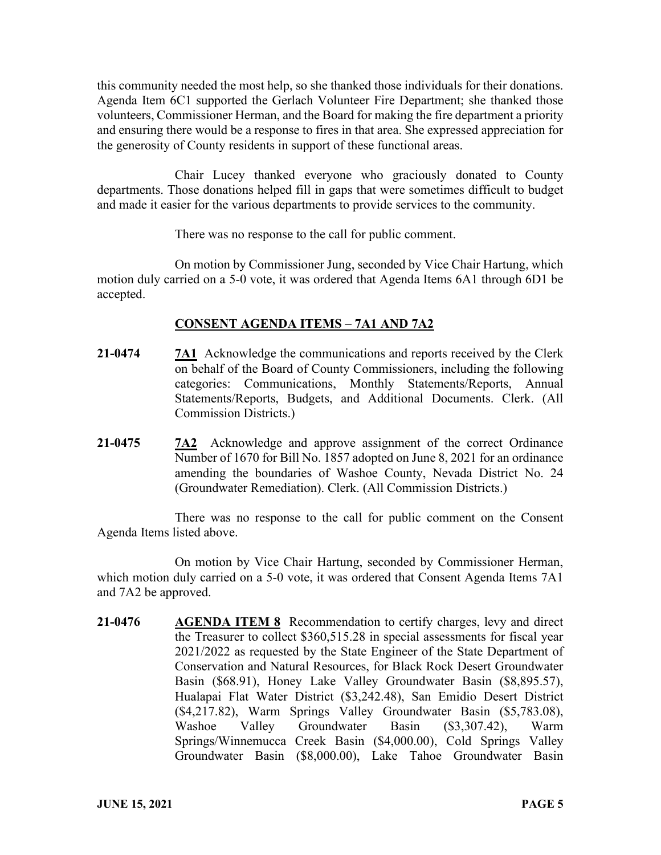this community needed the most help, so she thanked those individuals for their donations. Agenda Item 6C1 supported the Gerlach Volunteer Fire Department; she thanked those volunteers, Commissioner Herman, and the Board for making the fire department a priority and ensuring there would be a response to fires in that area. She expressed appreciation for the generosity of County residents in support of these functional areas.

Chair Lucey thanked everyone who graciously donated to County departments. Those donations helped fill in gaps that were sometimes difficult to budget and made it easier for the various departments to provide services to the community.

There was no response to the call for public comment.

On motion by Commissioner Jung, seconded by Vice Chair Hartung, which motion duly carried on a 5-0 vote, it was ordered that Agenda Items 6A1 through 6D1 be accepted.

## **CONSENT AGENDA ITEMS** – **7A1 AND 7A2**

- **21-0474 7A1** Acknowledge the communications and reports received by the Clerk on behalf of the Board of County Commissioners, including the following categories: Communications, Monthly Statements/Reports, Annual Statements/Reports, Budgets, and Additional Documents. Clerk. (All Commission Districts.)
- **21-0475 7A2** Acknowledge and approve assignment of the correct Ordinance Number of 1670 for Bill No. 1857 adopted on June 8, 2021 for an ordinance amending the boundaries of Washoe County, Nevada District No. 24 (Groundwater Remediation). Clerk. (All Commission Districts.)

There was no response to the call for public comment on the Consent Agenda Items listed above.

On motion by Vice Chair Hartung, seconded by Commissioner Herman, which motion duly carried on a 5-0 vote, it was ordered that Consent Agenda Items 7A1 and 7A2 be approved.

**21-0476 AGENDA ITEM 8** Recommendation to certify charges, levy and direct the Treasurer to collect \$360,515.28 in special assessments for fiscal year 2021/2022 as requested by the State Engineer of the State Department of Conservation and Natural Resources, for Black Rock Desert Groundwater Basin (\$68.91), Honey Lake Valley Groundwater Basin (\$8,895.57), Hualapai Flat Water District (\$3,242.48), San Emidio Desert District (\$4,217.82), Warm Springs Valley Groundwater Basin (\$5,783.08), Washoe Valley Groundwater Basin (\$3,307.42), Warm Springs/Winnemucca Creek Basin (\$4,000.00), Cold Springs Valley Groundwater Basin (\$8,000.00), Lake Tahoe Groundwater Basin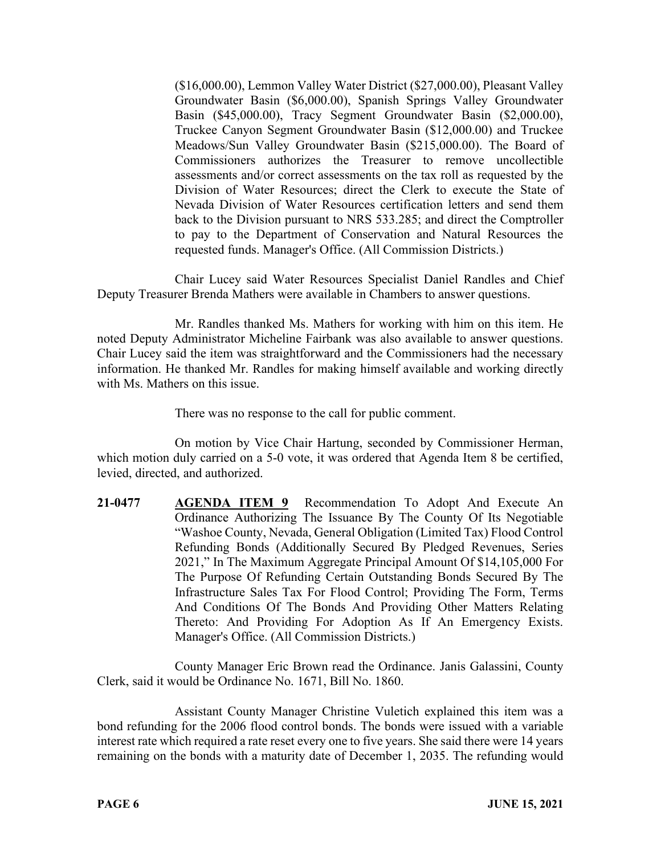(\$16,000.00), Lemmon Valley Water District (\$27,000.00), Pleasant Valley Groundwater Basin (\$6,000.00), Spanish Springs Valley Groundwater Basin (\$45,000.00), Tracy Segment Groundwater Basin (\$2,000.00), Truckee Canyon Segment Groundwater Basin (\$12,000.00) and Truckee Meadows/Sun Valley Groundwater Basin (\$215,000.00). The Board of Commissioners authorizes the Treasurer to remove uncollectible assessments and/or correct assessments on the tax roll as requested by the Division of Water Resources; direct the Clerk to execute the State of Nevada Division of Water Resources certification letters and send them back to the Division pursuant to NRS 533.285; and direct the Comptroller to pay to the Department of Conservation and Natural Resources the requested funds. Manager's Office. (All Commission Districts.)

Chair Lucey said Water Resources Specialist Daniel Randles and Chief Deputy Treasurer Brenda Mathers were available in Chambers to answer questions.

Mr. Randles thanked Ms. Mathers for working with him on this item. He noted Deputy Administrator Micheline Fairbank was also available to answer questions. Chair Lucey said the item was straightforward and the Commissioners had the necessary information. He thanked Mr. Randles for making himself available and working directly with Ms. Mathers on this issue.

There was no response to the call for public comment.

On motion by Vice Chair Hartung, seconded by Commissioner Herman, which motion duly carried on a 5-0 vote, it was ordered that Agenda Item 8 be certified, levied, directed, and authorized.

**21-0477 AGENDA ITEM 9** Recommendation To Adopt And Execute An Ordinance Authorizing The Issuance By The County Of Its Negotiable "Washoe County, Nevada, General Obligation (Limited Tax) Flood Control Refunding Bonds (Additionally Secured By Pledged Revenues, Series 2021," In The Maximum Aggregate Principal Amount Of \$14,105,000 For The Purpose Of Refunding Certain Outstanding Bonds Secured By The Infrastructure Sales Tax For Flood Control; Providing The Form, Terms And Conditions Of The Bonds And Providing Other Matters Relating Thereto: And Providing For Adoption As If An Emergency Exists. Manager's Office. (All Commission Districts.)

County Manager Eric Brown read the Ordinance. Janis Galassini, County Clerk, said it would be Ordinance No. 1671, Bill No. 1860.

Assistant County Manager Christine Vuletich explained this item was a bond refunding for the 2006 flood control bonds. The bonds were issued with a variable interest rate which required a rate reset every one to five years. She said there were 14 years remaining on the bonds with a maturity date of December 1, 2035. The refunding would